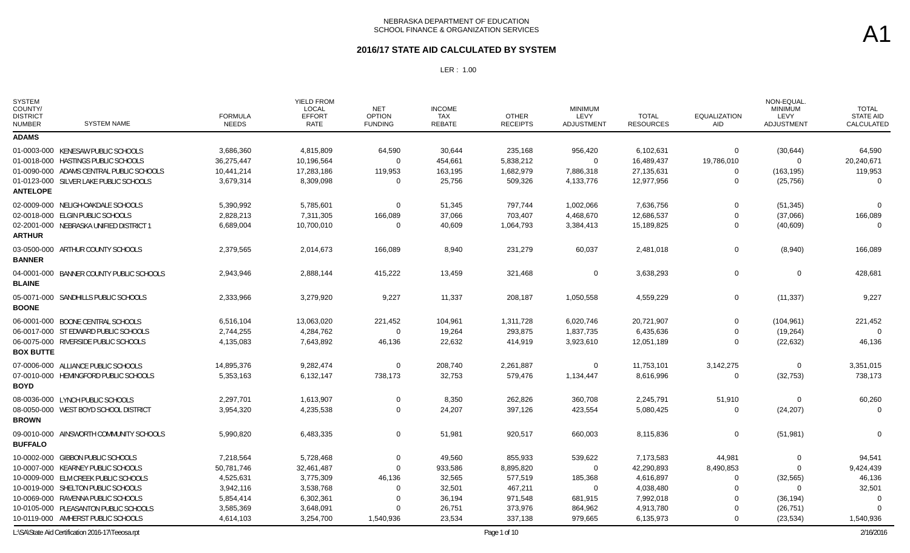### **2016/17 STATE AID CALCULATED BY SYSTEM**

| <b>SYSTEM</b><br>COUNTY/<br><b>DISTRICT</b><br><b>NUMBER</b> | <b>SYSTEM NAME</b>                               | <b>FORMULA</b><br><b>NEEDS</b> | <b>YIELD FROM</b><br>LOCAL<br><b>EFFORT</b><br>RATE | <b>NET</b><br><b>OPTION</b><br><b>FUNDING</b> | <b>INCOME</b><br><b>TAX</b><br>REBATE | <b>OTHER</b><br><b>RECEIPTS</b> | <b>MINIMUM</b><br>LEVY<br>ADJUSTMENT | <b>TOTAL</b><br><b>RESOURCES</b> | <b>EQUALIZATION</b><br>AID | NON-EQUAL<br><b>MINIMUM</b><br>LEVY<br>ADJUSTMENT | <b>TOTAL</b><br><b>STATE AID</b><br>CALCULATED |
|--------------------------------------------------------------|--------------------------------------------------|--------------------------------|-----------------------------------------------------|-----------------------------------------------|---------------------------------------|---------------------------------|--------------------------------------|----------------------------------|----------------------------|---------------------------------------------------|------------------------------------------------|
| <b>ADAMS</b>                                                 |                                                  |                                |                                                     |                                               |                                       |                                 |                                      |                                  |                            |                                                   |                                                |
|                                                              | 01-0003-000 KENESAW PUBLIC SCHOOLS               | 3,686,360                      | 4,815,809                                           | 64,590                                        | 30,644                                | 235,168                         | 956,420                              | 6,102,631                        | 0                          | (30, 644)                                         | 64,590                                         |
|                                                              | 01-0018-000 HASTINGS PUBLIC SCHOOLS              | 36,275,447                     | 10,196,564                                          | $\Omega$                                      | 454,661                               | 5,838,212                       | $\mathbf 0$                          | 16,489,437                       | 19,786,010                 | $\mathbf{0}$                                      | 20,240,671                                     |
|                                                              | 01-0090-000 ADAMS CENTRAL PUBLIC SCHOOLS         | 10,441,214                     | 17,283,186                                          | 119,953                                       | 163,195                               | 1,682,979                       | 7,886,318                            | 27,135,631                       | $\mathbf 0$                | (163, 195)                                        | 119,953                                        |
|                                                              | 01-0123-000 SILVER LAKE PUBLIC SCHOOLS           | 3,679,314                      | 8,309,098                                           | $\Omega$                                      | 25,756                                | 509,326                         | 4,133,776                            | 12,977,956                       | $\Omega$                   | (25, 756)                                         | $\Omega$                                       |
| <b>ANTELOPE</b>                                              |                                                  |                                |                                                     |                                               |                                       |                                 |                                      |                                  |                            |                                                   |                                                |
|                                                              | 02-0009-000 NELIGH-OAKDALE SCHOOLS               | 5,390,992                      | 5,785,601                                           | $\Omega$                                      | 51,345                                | 797,744                         | 1,002,066                            | 7,636,756                        | $\mathbf 0$                | (51, 345)                                         | $\Omega$                                       |
|                                                              | 02-0018-000 ELGIN PUBLIC SCHOOLS                 | 2,828,213                      | 7,311,305                                           | 166,089                                       | 37,066                                | 703,407                         | 4,468,670                            | 12,686,537                       | $\mathbf 0$                | (37,066)                                          | 166,089                                        |
|                                                              | 02-2001-000 NEBRASKA UNIFIED DISTRICT 1          | 6,689,004                      | 10,700,010                                          | $\Omega$                                      | 40,609                                | 1,064,793                       | 3,384,413                            | 15,189,825                       | $\mathbf 0$                | (40, 609)                                         | $\Omega$                                       |
| <b>ARTHUR</b>                                                |                                                  |                                |                                                     |                                               |                                       |                                 |                                      |                                  |                            |                                                   |                                                |
|                                                              | 03-0500-000 ARTHUR COUNTY SCHOOLS                | 2,379,565                      | 2,014,673                                           | 166,089                                       | 8,940                                 | 231,279                         | 60,037                               | 2,481,018                        | 0                          | (8,940)                                           | 166,089                                        |
| <b>BANNER</b>                                                |                                                  |                                |                                                     |                                               |                                       |                                 |                                      |                                  |                            |                                                   |                                                |
|                                                              | 04-0001-000 BANNER COUNTY PUBLIC SCHOOLS         | 2,943,946                      | 2,888,144                                           | 415,222                                       | 13,459                                | 321,468                         | $\mathbf 0$                          | 3,638,293                        | 0                          | 0                                                 | 428,681                                        |
| <b>BLAINE</b>                                                |                                                  |                                |                                                     |                                               |                                       |                                 |                                      |                                  |                            |                                                   |                                                |
|                                                              | 05-0071-000 SANDHILLS PUBLIC SCHOOLS             | 2,333,966                      | 3,279,920                                           | 9,227                                         | 11,337                                | 208,187                         | 1,050,558                            | 4,559,229                        | 0                          | (11, 337)                                         | 9,227                                          |
| <b>BOONE</b>                                                 |                                                  |                                |                                                     |                                               |                                       |                                 |                                      |                                  |                            |                                                   |                                                |
|                                                              | 06-0001-000 BOONE CENTRAL SCHOOLS                | 6,516,104                      | 13,063,020                                          | 221,452                                       | 104,961                               | 1,311,728                       | 6,020,746                            | 20,721,907                       | $\mathbf 0$                | (104, 961)                                        | 221,452                                        |
|                                                              | 06-0017-000 ST EDWARD PUBLIC SCHOOLS             | 2,744,255                      | 4,284,762                                           | $\Omega$                                      | 19,264                                | 293,875                         | 1,837,735                            | 6,435,636                        | 0                          | (19,264)                                          | $\Omega$                                       |
|                                                              | 06-0075-000 RIVERSIDE PUBLIC SCHOOLS             | 4,135,083                      | 7,643,892                                           | 46,136                                        | 22,632                                | 414,919                         | 3,923,610                            | 12,051,189                       | $\Omega$                   | (22, 632)                                         | 46,136                                         |
| <b>BOX BUTTE</b>                                             |                                                  |                                |                                                     |                                               |                                       |                                 |                                      |                                  |                            |                                                   |                                                |
|                                                              | 07-0006-000 ALLIANCE PUBLIC SCHOOLS              | 14,895,376                     | 9,282,474                                           | $\Omega$                                      | 208,740                               | 2,261,887                       | $\mathbf 0$                          | 11,753,101                       | 3,142,275                  | $\mathbf 0$                                       | 3,351,015                                      |
|                                                              | 07-0010-000 HEMINGFORD PUBLIC SCHOOLS            | 5,353,163                      | 6,132,147                                           | 738,173                                       | 32,753                                | 579,476                         | 1,134,447                            | 8,616,996                        | $\Omega$                   | (32, 753)                                         | 738,173                                        |
| <b>BOYD</b>                                                  |                                                  |                                |                                                     |                                               |                                       |                                 |                                      |                                  |                            |                                                   |                                                |
|                                                              | 08-0036-000 LYNCH PUBLIC SCHOOLS                 | 2,297,701                      | 1,613,907                                           | 0                                             | 8,350                                 | 262,826                         | 360,708                              | 2,245,791                        | 51,910                     | $\mathbf 0$                                       | 60,260                                         |
|                                                              | 08-0050-000 WEST BOYD SCHOOL DISTRICT            | 3,954,320                      | 4,235,538                                           | $\Omega$                                      | 24,207                                | 397,126                         | 423,554                              | 5,080,425                        | $\Omega$                   | (24, 207)                                         | $\Omega$                                       |
| <b>BROWN</b>                                                 |                                                  |                                |                                                     |                                               |                                       |                                 |                                      |                                  |                            |                                                   |                                                |
|                                                              | 09-0010-000 AINSWORTH COMMUNITY SCHOOLS          | 5,990,820                      | 6,483,335                                           | $\mathbf 0$                                   | 51,981                                | 920,517                         | 660,003                              | 8,115,836                        | $\mathbf 0$                | (51, 981)                                         | $\Omega$                                       |
| <b>BUFFALO</b>                                               |                                                  |                                |                                                     |                                               |                                       |                                 |                                      |                                  |                            |                                                   |                                                |
|                                                              | 10-0002-000 GIBBON PUBLIC SCHOOLS                | 7,218,564                      | 5,728,468                                           | $\Omega$                                      | 49,560                                | 855,933                         | 539,622                              | 7,173,583                        | 44,981                     | $\mathbf 0$                                       | 94,541                                         |
|                                                              | 10-0007-000 KEARNEY PUBLIC SCHOOLS               | 50,781,746                     | 32,461,487                                          | $\Omega$                                      | 933,586                               | 8,895,820                       | $\mathbf 0$                          | 42,290,893                       | 8,490,853                  | $\Omega$                                          | 9,424,439                                      |
|                                                              | 10-0009-000 ELM CREEK PUBLIC SCHOOLS             | 4,525,631                      | 3,775,309                                           | 46,136                                        | 32,565                                | 577,519                         | 185,368                              | 4,616,897                        | 0                          | (32, 565)                                         | 46,136                                         |
|                                                              | 10-0019-000 SHELTON PUBLIC SCHOOLS               | 3,942,116                      | 3,538,768                                           | $\Omega$                                      | 32,501                                | 467,211                         | $\mathbf 0$                          | 4,038,480                        | 0                          | $\Omega$                                          | 32,501                                         |
|                                                              | 10-0069-000 RAVENNA PUBLIC SCHOOLS               | 5,854,414                      | 6,302,361                                           | $\Omega$                                      | 36,194                                | 971,548                         | 681,915                              | 7,992,018                        | $\Omega$                   | (36, 194)                                         |                                                |
|                                                              | 10-0105-000 PLEASANTON PUBLIC SCHOOLS            | 3,585,369                      | 3,648,091                                           |                                               | 26,751                                | 373,976                         | 864,962                              | 4,913,780                        | 0                          | (26, 751)                                         |                                                |
|                                                              | 10-0119-000 AMHERST PUBLIC SCHOOLS               | 4,614,103                      | 3,254,700                                           | 1,540,936                                     | 23,534                                | 337,138                         | 979,665                              | 6,135,973                        | $\Omega$                   | (23, 534)                                         | 1,540,936                                      |
|                                                              | L:\SA\State Aid Certification 2016-17\Teeosa.rpt |                                |                                                     |                                               |                                       | Page 1 of 10                    |                                      |                                  |                            |                                                   | 2/16/2016                                      |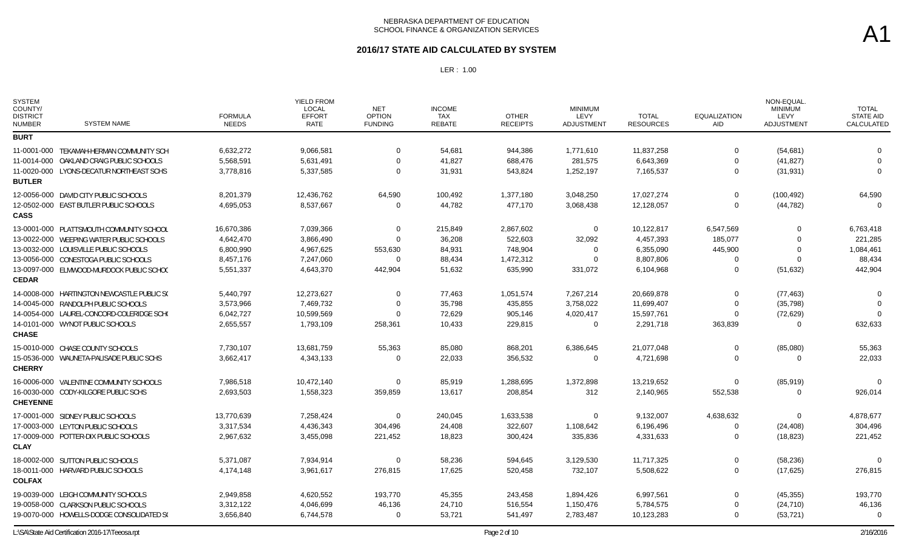#### **2016/17 STATE AID CALCULATED BY SYSTEM**

| <b>SYSTEM</b><br>COUNTY/<br><b>DISTRICT</b><br><b>NUMBER</b> | <b>SYSTEM NAME</b>                         | <b>FORMULA</b><br><b>NEEDS</b> | YIELD FROM<br><b>LOCAL</b><br><b>EFFORT</b><br><b>RATE</b> | <b>NET</b><br><b>OPTION</b><br><b>FUNDING</b> | <b>INCOME</b><br><b>TAX</b><br><b>REBATE</b> | <b>OTHER</b><br><b>RECEIPTS</b> | <b>MINIMUM</b><br>LEVY<br>ADJUSTMENT | <b>TOTAL</b><br><b>RESOURCES</b> | <b>EQUALIZATION</b><br><b>AID</b> | NON-EQUAL<br><b>MINIMUM</b><br>LEVY<br>ADJUSTMENT | <b>TOTAL</b><br><b>STATE AID</b><br>CALCULATED |
|--------------------------------------------------------------|--------------------------------------------|--------------------------------|------------------------------------------------------------|-----------------------------------------------|----------------------------------------------|---------------------------------|--------------------------------------|----------------------------------|-----------------------------------|---------------------------------------------------|------------------------------------------------|
| <b>BURT</b>                                                  |                                            |                                |                                                            |                                               |                                              |                                 |                                      |                                  |                                   |                                                   |                                                |
|                                                              | 11-0001-000 TEKAMAH-HERMAN COMMUNITY SCH   | 6,632,272                      | 9,066,581                                                  | $\Omega$                                      | 54,681                                       | 944,386                         | 1,771,610                            | 11,837,258                       | $\Omega$                          | (54, 681)                                         | $\Omega$                                       |
|                                                              | 11-0014-000 OAKLAND CRAIG PUBLIC SCHOOLS   | 5,568,591                      | 5,631,491                                                  | $\Omega$                                      | 41,827                                       | 688,476                         | 281,575                              | 6,643,369                        | $\Omega$                          | (41, 827)                                         | $\Omega$                                       |
| <b>BUTLER</b>                                                | 11-0020-000 LYONS-DECATUR NORTHEAST SCHS   | 3,778,816                      | 5,337,585                                                  | $\Omega$                                      | 31,931                                       | 543,824                         | 1,252,197                            | 7,165,537                        | $\Omega$                          | (31, 931)                                         | $\Omega$                                       |
|                                                              | 12-0056-000 DAVID CITY PUBLIC SCHOOLS      | 8,201,379                      | 12,436,762                                                 | 64,590                                        | 100,492                                      | 1,377,180                       | 3,048,250                            | 17,027,274                       | $\mathbf 0$                       | (100, 492)                                        | 64,590                                         |
| <b>CASS</b>                                                  | 12-0502-000 EAST BUTLER PUBLIC SCHOOLS     | 4,695,053                      | 8,537,667                                                  | $\Omega$                                      | 44,782                                       | 477,170                         | 3,068,438                            | 12,128,057                       | $\Omega$                          | (44, 782)                                         | $\Omega$                                       |
|                                                              | 13-0001-000 PLATTSMOUTH COMMUNITY SCHOOL   | 16,670,386                     | 7,039,366                                                  | 0                                             | 215,849                                      | 2,867,602                       | 0                                    | 10,122,817                       | 6,547,569                         | $\Omega$                                          | 6,763,418                                      |
|                                                              | 13-0022-000 WEEPING WATER PUBLIC SCHOOLS   | 4,642,470                      | 3,866,490                                                  | $\Omega$                                      | 36,208                                       | 522,603                         | 32,092                               | 4,457,393                        | 185,077                           | $\Omega$                                          | 221,285                                        |
|                                                              | 13-0032-000 LOUISVILLE PUBLIC SCHOOLS      | 6,800,990                      | 4,967,625                                                  | 553,630                                       | 84,931                                       | 748,904                         | $\Omega$                             | 6,355,090                        | 445,900                           | $\Omega$                                          | 1,084,461                                      |
|                                                              | 13-0056-000 CONESTOGA PUBLIC SCHOOLS       | 8,457,176                      | 7,247,060                                                  | $\Omega$                                      | 88,434                                       | 1,472,312                       | $\Omega$                             | 8,807,806                        | 0                                 | $\Omega$                                          | 88,434                                         |
| <b>CEDAR</b>                                                 | 13-0097-000 ELMWOOD-MURDOCK PUBLIC SCHOC   | 5,551,337                      | 4,643,370                                                  | 442,904                                       | 51,632                                       | 635,990                         | 331,072                              | 6,104,968                        | $\Omega$                          | (51, 632)                                         | 442,904                                        |
|                                                              | 14-0008-000 HARTINGTON NEWCASTLE PUBLIC S( | 5,440,797                      | 12,273,627                                                 | $\mathbf 0$                                   | 77,463                                       | 1,051,574                       | 7,267,214                            | 20,669,878                       | $\Omega$                          | (77, 463)                                         | $\Omega$                                       |
|                                                              | 14-0045-000 RANDOLPH PUBLIC SCHOOLS        | 3,573,966                      | 7,469,732                                                  | 0                                             | 35,798                                       | 435,855                         | 3,758,022                            | 11,699,407                       | 0                                 | (35, 798)                                         |                                                |
|                                                              | 14-0054-000 LAUREL-CONCORD-COLERIDGE SCHO  | 6,042,727                      | 10,599,569                                                 | 0                                             | 72,629                                       | 905,146                         | 4,020,417                            | 15,597,761                       |                                   | (72, 629)                                         |                                                |
| <b>CHASE</b>                                                 | 14-0101-000 WYNOT PUBLIC SCHOOLS           | 2,655,557                      | 1,793,109                                                  | 258,361                                       | 10,433                                       | 229,815                         | $\Omega$                             | 2,291,718                        | 363,839                           | $\Omega$                                          | 632,633                                        |
|                                                              | 15-0010-000 CHASE COUNTY SCHOOLS           | 7,730,107                      | 13,681,759                                                 | 55,363                                        | 85,080                                       | 868,201                         | 6,386,645                            | 21,077,048                       | 0                                 | (85,080)                                          | 55,363                                         |
| <b>CHERRY</b>                                                | 15-0536-000 WAUNETA-PALISADE PUBLIC SCHS   | 3,662,417                      | 4,343,133                                                  | $\Omega$                                      | 22,033                                       | 356,532                         | $\Omega$                             | 4,721,698                        | $\Omega$                          | $\Omega$                                          | 22,033                                         |
|                                                              | 16-0006-000 VALENTINE COMMUNITY SCHOOLS    | 7,986,518                      | 10,472,140                                                 | $\Omega$                                      | 85,919                                       | 1,288,695                       | 1,372,898                            | 13,219,652                       | $\Omega$                          | (85, 919)                                         |                                                |
| <b>CHEYENNE</b>                                              | 16-0030-000 CODY-KILGORE PUBLIC SCHS       | 2,693,503                      | 1,558,323                                                  | 359,859                                       | 13,617                                       | 208,854                         | 312                                  | 2,140,965                        | 552,538                           | $\Omega$                                          | 926,014                                        |
|                                                              | 17-0001-000 SIDNEY PUBLIC SCHOOLS          | 13,770,639                     | 7,258,424                                                  | $\Omega$                                      | 240,045                                      | 1,633,538                       | $\Omega$                             | 9,132,007                        | 4,638,632                         | $\Omega$                                          | 4,878,677                                      |
|                                                              | 17-0003-000 LEYTON PUBLIC SCHOOLS          | 3,317,534                      | 4,436,343                                                  | 304,496                                       | 24,408                                       | 322,607                         | 1,108,642                            | 6,196,496                        | $\Omega$                          | (24, 408)                                         | 304,496                                        |
| <b>CLAY</b>                                                  | 17-0009-000 POTTER-DIX PUBLIC SCHOOLS      | 2,967,632                      | 3,455,098                                                  | 221,452                                       | 18,823                                       | 300,424                         | 335,836                              | 4,331,633                        | $\Omega$                          | (18, 823)                                         | 221,452                                        |
|                                                              | 18-0002-000 SUTTON PUBLIC SCHOOLS          | 5,371,087                      | 7,934,914                                                  | $\Omega$                                      | 58,236                                       | 594,645                         | 3,129,530                            | 11,717,325                       | 0                                 | (58, 236)                                         | $\Omega$                                       |
| <b>COLFAX</b>                                                | 18-0011-000 HARVARD PUBLIC SCHOOLS         | 4,174,148                      | 3,961,617                                                  | 276,815                                       | 17,625                                       | 520,458                         | 732,107                              | 5,508,622                        | $\Omega$                          | (17, 625)                                         | 276,815                                        |
|                                                              | 19-0039-000 LEIGH COMMUNITY SCHOOLS        | 2,949,858                      | 4,620,552                                                  | 193,770                                       | 45,355                                       | 243,458                         | 1,894,426                            | 6,997,561                        | $\Omega$                          | (45, 355)                                         | 193,770                                        |
|                                                              | 19-0058-000 CLARKSON PUBLIC SCHOOLS        | 3,312,122                      | 4,046,699                                                  | 46,136                                        | 24,710                                       | 516,554                         | 1,150,476                            | 5,784,575                        | 0                                 | (24, 710)                                         | 46,136                                         |
|                                                              | 19-0070-000 HOWELLS-DODGE CONSOLIDATED SO  | 3,656,840                      | 6,744,578                                                  | $\Omega$                                      | 53,721                                       | 541,497                         | 2,783,487                            | 10,123,283                       | $\Omega$                          | (53, 721)                                         | $\Omega$                                       |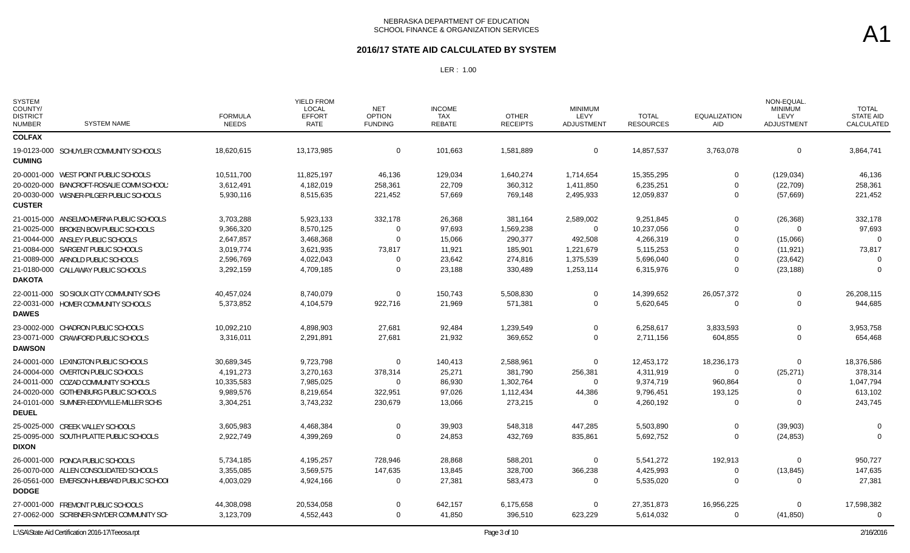#### **2016/17 STATE AID CALCULATED BY SYSTEM**

| <b>SYSTEM</b><br>COUNTY/<br><b>DISTRICT</b><br><b>NUMBER</b> | <b>SYSTEM NAME</b>                        | <b>FORMULA</b><br><b>NEEDS</b> | <b>YIELD FROM</b><br>LOCAL<br><b>EFFORT</b><br><b>RATE</b> | <b>NET</b><br><b>OPTION</b><br><b>FUNDING</b> | <b>INCOME</b><br>TAX<br><b>REBATE</b> | <b>OTHER</b><br><b>RECEIPTS</b> | <b>MINIMUM</b><br>LEVY<br><b>ADJUSTMENT</b> | <b>TOTAL</b><br><b>RESOURCES</b> | <b>EQUALIZATION</b><br><b>AID</b> | NON-EQUAL.<br><b>MINIMUM</b><br>LEVY<br><b>ADJUSTMENT</b> | <b>TOTAL</b><br><b>STATE AID</b><br>CALCULATED |
|--------------------------------------------------------------|-------------------------------------------|--------------------------------|------------------------------------------------------------|-----------------------------------------------|---------------------------------------|---------------------------------|---------------------------------------------|----------------------------------|-----------------------------------|-----------------------------------------------------------|------------------------------------------------|
| <b>COLFAX</b>                                                |                                           |                                |                                                            |                                               |                                       |                                 |                                             |                                  |                                   |                                                           |                                                |
| <b>CUMING</b>                                                | 19-0123-000 SCHUYLER COMMUNITY SCHOOLS    | 18,620,615                     | 13,173,985                                                 | 0                                             | 101,663                               | 1,581,889                       | $\mathbf 0$                                 | 14,857,537                       | 3,763,078                         | $\mathbf 0$                                               | 3,864,741                                      |
|                                                              | 20-0001-000 WEST POINT PUBLIC SCHOOLS     | 10,511,700                     | 11,825,197                                                 | 46,136                                        | 129,034                               | 1,640,274                       | 1,714,654                                   | 15,355,295                       | $\Omega$                          | (129, 034)                                                | 46,136                                         |
|                                                              | 20-0020-000 BANCROFT-ROSALIE COMM SCHOOL! | 3,612,491                      | 4,182,019                                                  | 258,361                                       | 22,709                                | 360,312                         | 1,411,850                                   | 6,235,251                        | $\Omega$                          | (22, 709)                                                 | 258,361                                        |
| <b>CUSTER</b>                                                | 20-0030-000 WISNER-PILGER PUBLIC SCHOOLS  | 5,930,116                      | 8,515,635                                                  | 221,452                                       | 57,669                                | 769,148                         | 2,495,933                                   | 12,059,837                       | $\Omega$                          | (57,669)                                                  | 221,452                                        |
|                                                              | 21-0015-000 ANSELMO-MERNA PUBLIC SCHOOLS  | 3,703,288                      | 5,923,133                                                  | 332,178                                       | 26,368                                | 381,164                         | 2,589,002                                   | 9,251,845                        | $\Omega$                          | (26, 368)                                                 | 332,178                                        |
|                                                              | 21-0025-000 BROKEN BOW PUBLIC SCHOOLS     | 9,366,320                      | 8,570,125                                                  | $\Omega$                                      | 97,693                                | 1,569,238                       | $\mathbf 0$                                 | 10,237,056                       | $\Omega$                          | $\Omega$                                                  | 97,693                                         |
|                                                              | 21-0044-000 ANSLEY PUBLIC SCHOOLS         | 2,647,857                      | 3,468,368                                                  | $\Omega$                                      | 15,066                                | 290,377                         | 492,508                                     | 4,266,319                        | $\Omega$                          | (15,066)                                                  | $\Omega$                                       |
|                                                              | 21-0084-000 SARGENT PUBLIC SCHOOLS        | 3,019,774                      | 3,621,935                                                  | 73,817                                        | 11,921                                | 185,901                         | 1,221,679                                   | 5,115,253                        | $\Omega$                          | (11, 921)                                                 | 73,817                                         |
|                                                              | 21-0089-000 ARNOLD PUBLIC SCHOOLS         | 2,596,769                      | 4,022,043                                                  | O                                             | 23,642                                | 274,816                         | 1,375,539                                   | 5,696,040                        | $\Omega$                          | (23, 642)                                                 |                                                |
|                                                              | 21-0180-000 CALLAWAY PUBLIC SCHOOLS       | 3,292,159                      | 4,709,185                                                  | $\Omega$                                      | 23,188                                | 330,489                         | 1,253,114                                   | 6,315,976                        | $\Omega$                          | (23, 188)                                                 |                                                |
| <b>DAKOTA</b>                                                |                                           |                                |                                                            |                                               |                                       |                                 |                                             |                                  |                                   |                                                           |                                                |
|                                                              | 22-0011-000 SO SIOUX CITY COMMUNITY SCHS  | 40,457,024                     | 8,740,079                                                  | $\Omega$                                      | 150,743                               | 5,508,830                       | $\mathbf 0$                                 | 14,399,652                       | 26,057,372                        | $\Omega$                                                  | 26,208,115                                     |
|                                                              | 22-0031-000 HOMER COMMUNITY SCHOOLS       | 5,373,852                      | 4,104,579                                                  | 922,716                                       | 21,969                                | 571,381                         | $\mathbf 0$                                 | 5,620,645                        | $\overline{0}$                    | $\mathbf 0$                                               | 944,685                                        |
| <b>DAWES</b>                                                 |                                           |                                |                                                            |                                               |                                       |                                 |                                             |                                  |                                   |                                                           |                                                |
|                                                              | 23-0002-000 CHADRON PUBLIC SCHOOLS        | 10,092,210                     | 4,898,903                                                  | 27,681                                        | 92,484                                | 1,239,549                       | $\mathbf 0$                                 | 6,258,617                        | 3,833,593                         | $\Omega$                                                  | 3,953,758                                      |
|                                                              | 23-0071-000 CRAWFORD PUBLIC SCHOOLS       | 3,316,011                      | 2,291,891                                                  | 27,681                                        | 21,932                                | 369,652                         | $\mathbf 0$                                 | 2,711,156                        | 604,855                           | $\Omega$                                                  | 654,468                                        |
| <b>DAWSON</b>                                                |                                           |                                |                                                            |                                               |                                       |                                 |                                             |                                  |                                   |                                                           |                                                |
|                                                              | 24-0001-000 LEXINGTON PUBLIC SCHOOLS      | 30,689,345                     | 9,723,798                                                  | $\Omega$                                      | 140,413                               | 2,588,961                       | $\mathbf 0$                                 | 12,453,172                       | 18,236,173                        | $\Omega$                                                  | 18,376,586                                     |
|                                                              | 24-0004-000 OVERTON PUBLIC SCHOOLS        | 4,191,273                      | 3,270,163                                                  | 378,314                                       | 25,271                                | 381,790                         | 256,381                                     | 4,311,919                        | $\Omega$                          | (25, 271)                                                 | 378,314                                        |
|                                                              | 24-0011-000 COZAD COMMUNITY SCHOOLS       | 10,335,583                     | 7,985,025                                                  | 0                                             | 86,930                                | 1,302,764                       | 0                                           | 9,374,719                        | 960,864                           | $\Omega$                                                  | 1,047,794                                      |
|                                                              | 24-0020-000 GOTHENBURG PUBLIC SCHOOLS     | 9,989,576                      | 8,219,654                                                  | 322,951                                       | 97,026                                | 1,112,434                       | 44,386                                      | 9,796,451                        | 193,125                           | $\Omega$                                                  | 613,102                                        |
|                                                              | 24-0101-000 SUMNER-EDDYVILLE-MILLER SCHS  | 3,304,251                      | 3,743,232                                                  | 230,679                                       | 13,066                                | 273,215                         | $\mathbf 0$                                 | 4,260,192                        | $\Omega$                          | $\Omega$                                                  | 243,745                                        |
| <b>DEUEL</b>                                                 |                                           |                                |                                                            |                                               |                                       |                                 |                                             |                                  |                                   |                                                           |                                                |
|                                                              | 25-0025-000 CREEK VALLEY SCHOOLS          | 3,605,983                      | 4,468,384                                                  | $\Omega$                                      | 39,903                                | 548,318                         | 447,285                                     | 5,503,890                        | $\Omega$                          | (39,903)                                                  | $\Omega$                                       |
|                                                              | 25-0095-000 SOUTH PLATTE PUBLIC SCHOOLS   | 2,922,749                      | 4,399,269                                                  | $\mathbf 0$                                   | 24,853                                | 432,769                         | 835,861                                     | 5,692,752                        | $\Omega$                          | (24, 853)                                                 | $\Omega$                                       |
| <b>DIXON</b>                                                 |                                           |                                |                                                            |                                               |                                       |                                 |                                             |                                  |                                   |                                                           |                                                |
|                                                              | 26-0001-000 PONCA PUBLIC SCHOOLS          | 5,734,185                      | 4,195,257                                                  | 728,946                                       | 28,868                                | 588,201                         | $\mathbf 0$                                 | 5,541,272                        | 192,913                           | $\mathbf 0$                                               | 950.727                                        |
|                                                              | 26-0070-000 ALLEN CONSOLIDATED SCHOOLS    | 3,355,085                      | 3,569,575                                                  | 147,635                                       | 13,845                                | 328,700                         | 366,238                                     | 4,425,993                        | 0                                 | (13, 845)                                                 | 147,635                                        |
|                                                              | 26-0561-000 EMERSON-HUBBARD PUBLIC SCHOOL | 4,003,029                      | 4,924,166                                                  | $\Omega$                                      | 27,381                                | 583,473                         | $\Omega$                                    | 5,535,020                        | $\Omega$                          | $\Omega$                                                  | 27,381                                         |
| <b>DODGE</b>                                                 |                                           |                                |                                                            |                                               |                                       |                                 |                                             |                                  |                                   |                                                           |                                                |
|                                                              | 27-0001-000 FREMONT PUBLIC SCHOOLS        | 44,308,098                     | 20,534,058                                                 | $\Omega$                                      | 642,157                               | 6,175,658                       | $\Omega$                                    | 27,351,873                       | 16,956,225                        | $\Omega$                                                  | 17,598,382                                     |
|                                                              | 27-0062-000 SCRIBNER-SNYDER COMMUNITY SCH | 3,123,709                      | 4,552,443                                                  | $\Omega$                                      | 41,850                                | 396,510                         | 623,229                                     | 5,614,032                        | 0                                 | (41, 850)                                                 | $\Omega$                                       |
|                                                              |                                           |                                |                                                            |                                               |                                       |                                 |                                             |                                  |                                   |                                                           |                                                |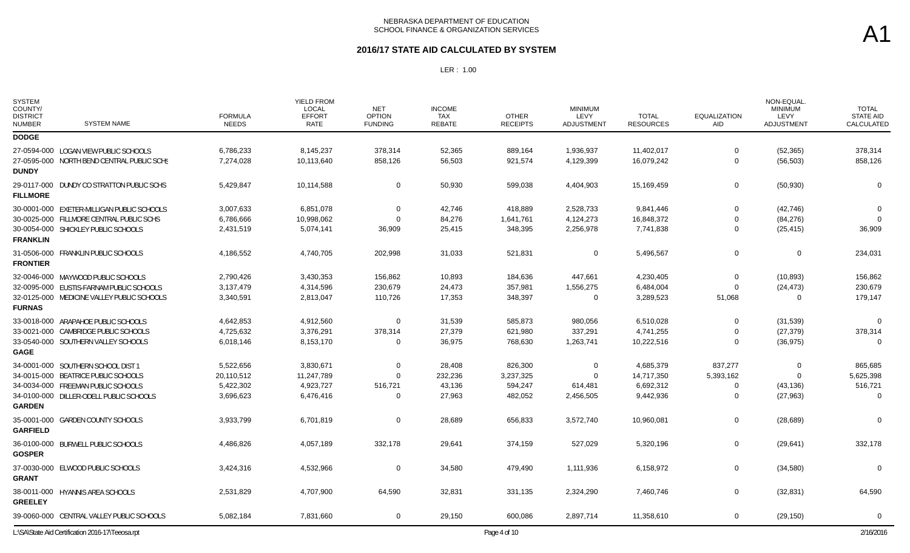#### **2016/17 STATE AID CALCULATED BY SYSTEM**

| <b>SYSTEM</b><br>COUNTY/<br><b>DISTRICT</b><br><b>SYSTEM NAME</b><br><b>NUMBER</b>                                                                                          | <b>FORMULA</b><br><b>NEEDS</b>                    | YIELD FROM<br>LOCAL<br><b>EFFORT</b><br>RATE      | <b>NET</b><br><b>OPTION</b><br><b>FUNDING</b>  | <b>INCOME</b><br>TAX<br>REBATE        | <b>OTHER</b><br><b>RECEIPTS</b>            | <b>MINIMUM</b><br>LEVY<br><b>ADJUSTMENT</b>        | <b>TOTAL</b><br><b>RESOURCES</b>                  | <b>EQUALIZATION</b><br>AID                      | NON-EQUAL<br><b>MINIMUM</b><br>LEVY<br>ADJUSTMENT | <b>TOTAL</b><br><b>STATE AID</b><br>CALCULATED |
|-----------------------------------------------------------------------------------------------------------------------------------------------------------------------------|---------------------------------------------------|---------------------------------------------------|------------------------------------------------|---------------------------------------|--------------------------------------------|----------------------------------------------------|---------------------------------------------------|-------------------------------------------------|---------------------------------------------------|------------------------------------------------|
| <b>DODGE</b>                                                                                                                                                                |                                                   |                                                   |                                                |                                       |                                            |                                                    |                                                   |                                                 |                                                   |                                                |
| 27-0594-000 LOGAN VIEW PUBLIC SCHOOLS<br>27-0595-000 NORTH BEND CENTRAL PUBLIC SCHS<br><b>DUNDY</b>                                                                         | 6,786,233<br>7,274,028                            | 8,145,237<br>10,113,640                           | 378,314<br>858,126                             | 52,365<br>56,503                      | 889,164<br>921,574                         | 1,936,937<br>4,129,399                             | 11,402,017<br>16,079,242                          | $\mathbf 0$<br>0                                | (52, 365)<br>(56, 503)                            | 378,314<br>858,126                             |
| 29-0117-000 DUNDY CO STRATTON PUBLIC SCHS<br><b>FILLMORE</b>                                                                                                                | 5,429,847                                         | 10,114,588                                        | 0                                              | 50,930                                | 599,038                                    | 4,404,903                                          | 15,169,459                                        | 0                                               | (50, 930)                                         | $\Omega$                                       |
| 30-0001-000 EXETER-MILLIGAN PUBLIC SCHOOLS<br>30-0025-000 FILLMORE CENTRAL PUBLIC SCHS<br>30-0054-000 SHICKLEY PUBLIC SCHOOLS<br><b>FRANKLIN</b>                            | 3,007,633<br>6,786,666<br>2,431,519               | 6,851,078<br>10,998,062<br>5,074,141              | $\Omega$<br>$\Omega$<br>36,909                 | 42,746<br>84,276<br>25,415            | 418,889<br>1,641,761<br>348,395            | 2,528,733<br>4,124,273<br>2,256,978                | 9,841,446<br>16,848,372<br>7,741,838              | $\Omega$<br>0<br>$\Omega$                       | (42, 746)<br>(84, 276)<br>(25, 415)               | $\Omega$<br>$\Omega$<br>36,909                 |
| 31-0506-000 FRANKLIN PUBLIC SCHOOLS<br><b>FRONTIER</b>                                                                                                                      | 4,186,552                                         | 4,740,705                                         | 202,998                                        | 31,033                                | 521,831                                    | $\mathbf 0$                                        | 5,496,567                                         | $\mathbf 0$                                     | $\mathbf 0$                                       | 234,031                                        |
| 32-0046-000 MAYWOOD PUBLIC SCHOOLS<br>32-0095-000 EUSTIS-FARNAM PUBLIC SCHOOLS<br>32-0125-000 MEDICINE VALLEY PUBLIC SCHOOLS<br><b>FURNAS</b>                               | 2,790,426<br>3,137,479<br>3,340,591               | 3,430,353<br>4,314,596<br>2,813,047               | 156,862<br>230,679<br>110,726                  | 10,893<br>24,473<br>17,353            | 184,636<br>357,981<br>348,397              | 447,661<br>1,556,275<br>$\mathbf 0$                | 4,230,405<br>6,484,004<br>3,289,523               | $\Omega$<br>$\Omega$<br>51,068                  | (10, 893)<br>(24, 473)<br>$\Omega$                | 156,862<br>230,679<br>179,147                  |
| 33-0018-000 ARAPAHOE PUBLIC SCHOOLS<br>33-0021-000 CAMBRIDGE PUBLIC SCHOOLS<br>33-0540-000 SOUTHERN VALLEY SCHOOLS<br><b>GAGE</b>                                           | 4,642,853<br>4,725,632<br>6,018,146               | 4,912,560<br>3,376,291<br>8,153,170               | $\Omega$<br>378,314<br>$\Omega$                | 31,539<br>27,379<br>36,975            | 585,873<br>621,980<br>768,630              | 980,056<br>337,291<br>1,263,741                    | 6,510,028<br>4,741,255<br>10,222,516              | $\Omega$<br>0<br>$\Omega$                       | (31, 539)<br>(27, 379)<br>(36, 975)               | $\Omega$<br>378,314<br>$\Omega$                |
| 34-0001-000 SOUTHERN SCHOOL DIST 1<br>34-0015-000 BEATRICE PUBLIC SCHOOLS<br>34-0034-000 FREEMAN PUBLIC SCHOOLS<br>34-0100-000 DILLER-ODELL PUBLIC SCHOOLS<br><b>GARDEN</b> | 5,522,656<br>20,110,512<br>5,422,302<br>3,696,623 | 3,830,671<br>11,247,789<br>4,923,727<br>6,476,416 | $\mathbf 0$<br>$\Omega$<br>516,721<br>$\Omega$ | 28,408<br>232,236<br>43,136<br>27,963 | 826,300<br>3,237,325<br>594,247<br>482,052 | $\mathbf 0$<br>$\mathbf 0$<br>614,481<br>2,456,505 | 4,685,379<br>14,717,350<br>6,692,312<br>9,442,936 | 837,277<br>5,393,162<br>$\Omega$<br>$\mathbf 0$ | $\mathbf 0$<br>$\Omega$<br>(43, 136)<br>(27, 963) | 865,685<br>5,625,398<br>516,721<br>$\Omega$    |
| 35-0001-000 GARDEN COUNTY SCHOOLS<br><b>GARFIELD</b>                                                                                                                        | 3,933,799                                         | 6,701,819                                         | $\Omega$                                       | 28,689                                | 656,833                                    | 3,572,740                                          | 10,960,081                                        | 0                                               | (28, 689)                                         | $\Omega$                                       |
| 36-0100-000 BURWELL PUBLIC SCHOOLS<br><b>GOSPER</b>                                                                                                                         | 4,486,826                                         | 4,057,189                                         | 332,178                                        | 29,641                                | 374,159                                    | 527,029                                            | 5,320,196                                         | 0                                               | (29, 641)                                         | 332,178                                        |
| 37-0030-000 ELWOOD PUBLIC SCHOOLS<br><b>GRANT</b>                                                                                                                           | 3,424,316                                         | 4,532,966                                         | $\Omega$                                       | 34,580                                | 479,490                                    | 1,111,936                                          | 6,158,972                                         | 0                                               | (34, 580)                                         | $\Omega$                                       |
| 38-0011-000 HYANNIS AREA SCHOOLS<br><b>GREELEY</b>                                                                                                                          | 2,531,829                                         | 4,707,900                                         | 64,590                                         | 32,831                                | 331,135                                    | 2,324,290                                          | 7,460,746                                         | 0                                               | (32, 831)                                         | 64,590                                         |
| 39-0060-000 CENTRAL VALLEY PUBLIC SCHOOLS                                                                                                                                   | 5,082,184                                         | 7,831,660                                         | 0                                              | 29,150                                | 600,086                                    | 2,897,714                                          | 11,358,610                                        | 0                                               | (29, 150)                                         | $\Omega$                                       |
| L:\SA\State Aid Certification 2016-17\Teeosa.rpt                                                                                                                            |                                                   |                                                   |                                                |                                       | Page 4 of 10                               |                                                    |                                                   |                                                 |                                                   | 2/16/2016                                      |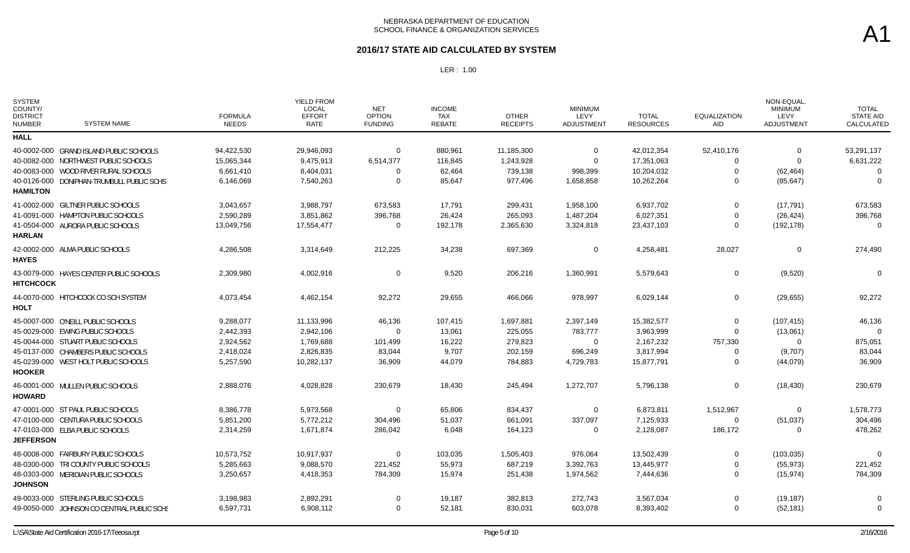### **2016/17 STATE AID CALCULATED BY SYSTEM**

| <b>SYSTEM</b><br>COUNTY/<br><b>DISTRICT</b><br><b>NUMBER</b> | <b>SYSTEM NAME</b>                         | <b>FORMULA</b><br><b>NEEDS</b> | YIELD FROM<br>LOCAL<br><b>EFFORT</b><br><b>RATE</b> | <b>NET</b><br><b>OPTION</b><br><b>FUNDING</b> | <b>INCOME</b><br><b>TAX</b><br>REBATE | <b>OTHER</b><br><b>RECEIPTS</b> | <b>MINIMUM</b><br><b>LEVY</b><br>ADJUSTMENT | <b>TOTAL</b><br><b>RESOURCES</b> | <b>EQUALIZATION</b><br><b>AID</b> | NON-EQUAL.<br><b>MINIMUM</b><br>LEVY<br>ADJUSTMENT | <b>TOTAL</b><br><b>STATE AID</b><br>CALCULATED |
|--------------------------------------------------------------|--------------------------------------------|--------------------------------|-----------------------------------------------------|-----------------------------------------------|---------------------------------------|---------------------------------|---------------------------------------------|----------------------------------|-----------------------------------|----------------------------------------------------|------------------------------------------------|
| <b>HALL</b>                                                  |                                            |                                |                                                     |                                               |                                       |                                 |                                             |                                  |                                   |                                                    |                                                |
|                                                              | 40-0002-000 GRAND ISLAND PUBLIC SCHOOLS    | 94,422,530                     | 29,946,093                                          | $\Omega$                                      | 880,961                               | 11,185,300                      | $\mathbf{0}$                                | 42,012,354                       | 52,410,176                        | $\Omega$<br>$\Omega$                               | 53,291,137                                     |
|                                                              | 40-0082-000 NORTHWEST PUBLIC SCHOOLS       | 15,065,344                     | 9,475,913                                           | 6,514,377                                     | 116,845                               | 1,243,928                       | $\mathbf 0$                                 | 17,351,063                       | 0                                 |                                                    | 6,631,222                                      |
|                                                              | 40-0083-000 WOOD RIVER RURAL SCHOOLS       | 6,661,410                      | 8,404,031                                           | $\Omega$                                      | 62,464                                | 739,138                         | 998,399                                     | 10,204,032                       | $\mathbf 0$                       | (62, 464)                                          | $\Omega$                                       |
| <b>HAMILTON</b>                                              | 40-0126-000 DONIPHAN-TRUMBULL PUBLIC SCHS  | 6,146,069                      | 7,540,263                                           | $\Omega$                                      | 85,647                                | 977,496                         | 1,658,858                                   | 10,262,264                       | $\Omega$                          | (85, 647)                                          | $\Omega$                                       |
|                                                              | 41-0002-000 GILTNER PUBLIC SCHOOLS         | 3,043,657                      | 3,988,797                                           | 673,583                                       | 17,791                                | 299,431                         | 1,958,100                                   | 6,937,702                        | $\Omega$                          | (17, 791)                                          | 673,583                                        |
|                                                              | 41-0091-000 HAMPTON PUBLIC SCHOOLS         | 2,590,289                      | 3,851,862                                           | 396,768                                       | 26,424                                | 265,093                         | 1,487,204                                   | 6,027,351                        | 0                                 | (26, 424)                                          | 396,768                                        |
| <b>HARLAN</b>                                                | 41-0504-000 AURORA PUBLIC SCHOOLS          | 13,049,756                     | 17,554,477                                          | $\mathbf 0$                                   | 192,178                               | 2,365,630                       | 3,324,818                                   | 23,437,103                       | $\Omega$                          | (192, 178)                                         | $\Omega$                                       |
| <b>HAYES</b>                                                 | 42-0002-000 ALMA PUBLIC SCHOOLS            | 4,286,508                      | 3,314,649                                           | 212,225                                       | 34,238                                | 697,369                         | 0                                           | 4,258,481                        | 28,027                            | $\mathbf{0}$                                       | 274,490                                        |
| <b>HITCHCOCK</b>                                             | 43-0079-000 HAYES CENTER PUBLIC SCHOOLS    | 2,309,980                      | 4,002,916                                           | $\mathbf 0$                                   | 9,520                                 | 206,216                         | 1,360,991                                   | 5,579,643                        | 0                                 | (9,520)                                            | $\Omega$                                       |
| HOLT                                                         | 44-0070-000 HITCHCOCK CO SCH SYSTEM        | 4,073,454                      | 4,462,154                                           | 92,272                                        | 29,655                                | 466,066                         | 978,997                                     | 6,029,144                        | $\mathbf 0$                       | (29, 655)                                          | 92,272                                         |
|                                                              | 45-0007-000 O'NEILL PUBLIC SCHOOLS         | 9,288,077                      | 11,133,996                                          | 46,136                                        | 107,415                               | 1,697,881                       | 2,397,149                                   | 15,382,577                       | $\Omega$                          | (107, 415)                                         | 46,136                                         |
|                                                              | 45-0029-000 EWING PUBLIC SCHOOLS           | 2,442,393                      | 2,942,106                                           | $\Omega$                                      | 13,061                                | 225,055                         | 783,777                                     | 3,963,999                        | $\Omega$                          | (13,061)                                           | $\Omega$                                       |
|                                                              | 45-0044-000 STUART PUBLIC SCHOOLS          | 2,924,562                      | 1,769,688                                           | 101,499                                       | 16,222                                | 279,823                         | $\Omega$                                    | 2,167,232                        | 757,330                           | $\Omega$                                           | 875,051                                        |
|                                                              | 45-0137-000 CHAMBERS PUBLIC SCHOOLS        | 2,418,024                      | 2,826,835                                           | 83,044                                        | 9,707                                 | 202,159                         | 696,249                                     | 3,817,994                        | 0                                 | (9,707)                                            | 83,044                                         |
|                                                              | 45-0239-000 WEST HOLT PUBLIC SCHOOLS       | 5,257,590                      | 10,282,137                                          | 36,909                                        | 44,079                                | 784,883                         | 4,729,783                                   | 15,877,791                       | $\Omega$                          | (44,079)                                           | 36,909                                         |
| <b>HOOKER</b>                                                |                                            |                                |                                                     |                                               |                                       |                                 |                                             |                                  |                                   |                                                    |                                                |
| <b>HOWARD</b>                                                | 46-0001-000 MULLEN PUBLIC SCHOOLS          | 2,888,076                      | 4,028,828                                           | 230,679                                       | 18,430                                | 245,494                         | 1,272,707                                   | 5,796,138                        | 0                                 | (18, 430)                                          | 230,679                                        |
|                                                              | 47-0001-000 ST PAUL PUBLIC SCHOOLS         | 8,386,778                      | 5,973,568                                           | 0                                             | 65,806                                | 834,437                         | 0                                           | 6,873,811                        | 1,512,967                         | 0                                                  | 1,578,773                                      |
|                                                              | 47-0100-000 CENTURA PUBLIC SCHOOLS         | 5,851,200                      | 5,772,212                                           | 304,496                                       | 51,037                                | 661,091                         | 337,097                                     | 7,125,933                        | $\Omega$                          | (51, 037)                                          | 304,496                                        |
| <b>JEFFERSON</b>                                             | 47-0103-000 ELBA PUBLIC SCHOOLS            | 2,314,259                      | 1,671,874                                           | 286,042                                       | 6,048                                 | 164,123                         | $\mathbf{0}$                                | 2,128,087                        | 186,172                           | $\Omega$                                           | 478,262                                        |
|                                                              | 48-0008-000 FAIRBURY PUBLIC SCHOOLS        | 10,573,752                     | 10,917,937                                          | $\mathbf 0$                                   | 103,035                               | 1,505,403                       | 976,064                                     | 13,502,439                       | $\Omega$                          | (103, 035)                                         | $\Omega$                                       |
|                                                              | 48-0300-000 TRI COUNTY PUBLIC SCHOOLS      | 5,285,663                      | 9,088,570                                           | 221,452                                       | 55,973                                | 687,219                         | 3,392,763                                   | 13,445,977                       | 0                                 | (55, 973)                                          | 221,452                                        |
| <b>JOHNSON</b>                                               | 48-0303-000 MERIDIAN PUBLIC SCHOOLS        | 3,250,657                      | 4,418,353                                           | 784,309                                       | 15,974                                | 251,438                         | 1,974,562                                   | 7,444,636                        | $\Omega$                          | (15, 974)                                          | 784,309                                        |
|                                                              | 49-0033-000 STERLING PUBLIC SCHOOLS        | 3,198,983                      | 2,892,291                                           | 0                                             | 19,187                                | 382,813                         | 272,743                                     | 3,567,034                        | 0                                 | (19, 187)                                          | $\Omega$                                       |
|                                                              | 49-0050-000 JOHNSON CO CENTRAL PUBLIC SCHS | 6,597,731                      | 6,908,112                                           | $\Omega$                                      | 52,181                                | 830,031                         | 603,078                                     | 8,393,402                        | $\Omega$                          | (52, 181)                                          | $\Omega$                                       |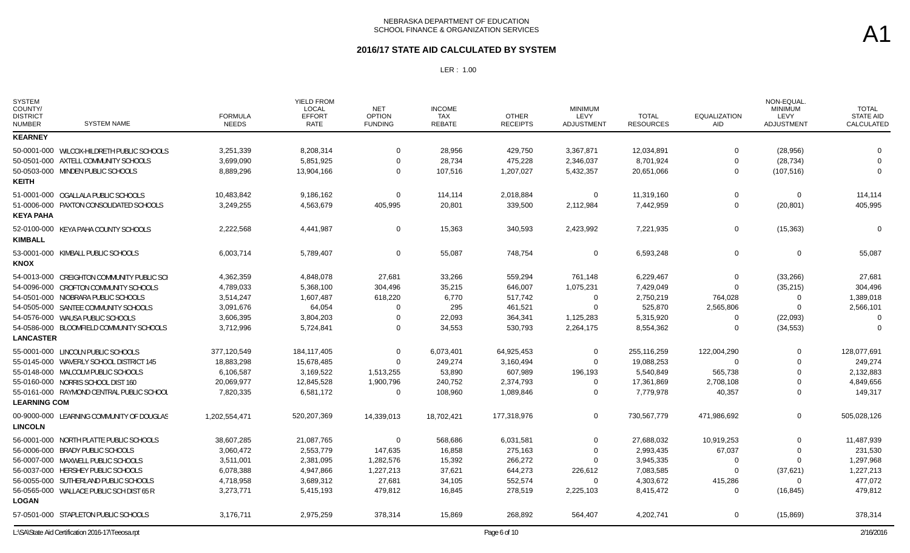#### **2016/17 STATE AID CALCULATED BY SYSTEM**

| <b>SYSTEM</b><br>COUNTY/<br><b>DISTRICT</b><br><b>NUMBER</b> | <b>SYSTEM NAME</b>                               | <b>FORMULA</b><br><b>NEEDS</b> | YIELD FROM<br>LOCAL<br><b>EFFORT</b><br>RATE | <b>NET</b><br><b>OPTION</b><br><b>FUNDING</b> | <b>INCOME</b><br><b>TAX</b><br>REBATE | <b>OTHER</b><br><b>RECEIPTS</b> | <b>MINIMUM</b><br>LEVY<br><b>ADJUSTMENT</b> | <b>TOTAL</b><br><b>RESOURCES</b> | <b>EQUALIZATION</b><br>AID | NON-EQUAL<br><b>MINIMUM</b><br>LEVY<br>ADJUSTMENT | <b>TOTAL</b><br><b>STATE AID</b><br>CALCULATED |
|--------------------------------------------------------------|--------------------------------------------------|--------------------------------|----------------------------------------------|-----------------------------------------------|---------------------------------------|---------------------------------|---------------------------------------------|----------------------------------|----------------------------|---------------------------------------------------|------------------------------------------------|
| <b>KEARNEY</b>                                               |                                                  |                                |                                              |                                               |                                       |                                 |                                             |                                  |                            |                                                   |                                                |
|                                                              | 50-0001-000 WILCOX-HILDRETH PUBLIC SCHOOLS       | 3,251,339                      | 8,208,314                                    | $\Omega$                                      | 28,956                                | 429,750                         | 3,367,871                                   | 12,034,891                       | $\Omega$                   | (28, 956)                                         | $\Omega$                                       |
|                                                              | 50-0501-000 AXTELL COMMUNITY SCHOOLS             | 3,699,090                      | 5,851,925                                    | $\Omega$                                      | 28,734                                | 475,228                         | 2,346,037                                   | 8,701,924                        | 0                          | (28, 734)                                         |                                                |
| <b>KEITH</b>                                                 | 50-0503-000 MINDEN PUBLIC SCHOOLS                | 8,889,296                      | 13,904,166                                   | $\Omega$                                      | 107,516                               | 1,207,027                       | 5,432,357                                   | 20,651,066                       | $\Omega$                   | (107, 516)                                        | $\Omega$                                       |
|                                                              | 51-0001-000 OGALLALA PUBLIC SCHOOLS              | 10,483,842                     | 9,186,162                                    | $\Omega$                                      | 114,114                               | 2,018,884                       | $\mathbf 0$                                 | 11,319,160                       | $\Omega$                   | $\mathbf 0$                                       | 114,114                                        |
| <b>KEYA PAHA</b>                                             | 51-0006-000 PAXTON CONSOLIDATED SCHOOLS          | 3,249,255                      | 4,563,679                                    | 405,995                                       | 20,801                                | 339,500                         | 2,112,984                                   | 7,442,959                        | $\mathbf 0$                | (20, 801)                                         | 405,995                                        |
| <b>KIMBALL</b>                                               | 52-0100-000 KEYA PAHA COUNTY SCHOOLS             | 2,222,568                      | 4,441,987                                    | $\Omega$                                      | 15,363                                | 340,593                         | 2,423,992                                   | 7,221,935                        | 0                          | (15, 363)                                         | $\Omega$                                       |
| <b>KNOX</b>                                                  | 53-0001-000 KIMBALL PUBLIC SCHOOLS               | 6,003,714                      | 5,789,407                                    | $\Omega$                                      | 55,087                                | 748,754                         | $\mathbf 0$                                 | 6,593,248                        | $\mathbf 0$                | $\Omega$                                          | 55,087                                         |
|                                                              | 54-0013-000 CREIGHTON COMMUNITY PUBLIC SCH       | 4,362,359                      | 4,848,078                                    | 27,681                                        | 33,266                                | 559,294                         | 761,148                                     | 6,229,467                        | $\Omega$                   | (33, 266)                                         | 27,681                                         |
|                                                              | 54-0096-000 CROFTON COMMUNITY SCHOOLS            | 4,789,033                      | 5,368,100                                    | 304,496                                       | 35,215                                | 646,007                         | 1,075,231                                   | 7,429,049                        | $\Omega$                   | (35, 215)                                         | 304,496                                        |
|                                                              | 54-0501-000 NIOBRARA PUBLIC SCHOOLS              | 3,514,247                      | 1,607,487                                    | 618,220                                       | 6,770                                 | 517,742                         | $\mathbf{0}$                                | 2,750,219                        | 764,028                    | $\Omega$                                          | 1,389,018                                      |
|                                                              | 54-0505-000 SANTEE COMMUNITY SCHOOLS             | 3,091,676                      | 64,054                                       | $\Omega$                                      | 295                                   | 461,521                         | $\Omega$                                    | 525,870                          | 2,565,806                  | $\Omega$                                          | 2,566,101                                      |
|                                                              | 54-0576-000 WAUSA PUBLIC SCHOOLS                 | 3,606,395                      | 3,804,203                                    | $\Omega$                                      | 22,093                                | 364,341                         | 1,125,283                                   | 5,315,920                        | 0                          | (22,093)                                          | $\Omega$                                       |
| <b>LANCASTER</b>                                             | 54-0586-000 BLOOMFIELD COMMUNITY SCHOOLS         | 3,712,996                      | 5,724,841                                    | $\Omega$                                      | 34,553                                | 530,793                         | 2,264,175                                   | 8,554,362                        | $\Omega$                   | (34, 553)                                         | $\Omega$                                       |
|                                                              | 55-0001-000 LINCOLN PUBLIC SCHOOLS               | 377,120,549                    | 184, 117, 405                                | $\Omega$                                      | 6,073,401                             | 64,925,453                      | $\mathbf 0$                                 | 255,116,259                      | 122,004,290                | $\Omega$                                          | 128,077,691                                    |
|                                                              | 55-0145-000 WAVERLY SCHOOL DISTRICT 145          | 18,883,298                     | 15,678,485                                   | $\Omega$                                      | 249,274                               | 3,160,494                       | $\mathbf{0}$                                | 19,088,253                       | $\Omega$                   | $\Omega$                                          | 249,274                                        |
|                                                              | 55-0148-000 MALCOLM PUBLIC SCHOOLS               | 6,106,587                      | 3,169,522                                    | 1,513,255                                     | 53,890                                | 607,989                         | 196,193                                     | 5,540,849                        | 565,738                    | $\Omega$                                          | 2,132,883                                      |
|                                                              | 55-0160-000 NORRIS SCHOOL DIST 160               | 20,069,977                     | 12,845,528                                   | 1,900,796                                     | 240,752                               | 2,374,793                       | $\Omega$                                    | 17,361,869                       | 2,708,108                  | $\Omega$                                          | 4,849,656                                      |
| <b>LEARNING COM</b>                                          | 55-0161-000 RAYMOND CENTRAL PUBLIC SCHOOL        | 7,820,335                      | 6,581,172                                    | $\Omega$                                      | 108,960                               | 1,089,846                       | $\Omega$                                    | 7,779,978                        | 40,357                     | $\Omega$                                          | 149,317                                        |
| <b>LINCOLN</b>                                               | 00-9000-000 LEARNING COMMUNITY OF DOUGLAS        | 1,202,554,471                  | 520,207,369                                  | 14,339,013                                    | 18,702,421                            | 177,318,976                     | $\mathbf 0$                                 | 730,567,779                      | 471,986,692                | $\Omega$                                          | 505,028,126                                    |
|                                                              | 56-0001-000 NORTH PLATTE PUBLIC SCHOOLS          | 38,607,285                     | 21,087,765                                   | $\Omega$                                      | 568,686                               | 6,031,581                       | $\mathbf 0$                                 | 27,688,032                       | 10,919,253                 | $\Omega$                                          | 11,487,939                                     |
|                                                              | 56-0006-000 BRADY PUBLIC SCHOOLS                 | 3,060,472                      | 2,553,779                                    | 147,635                                       | 16,858                                | 275,163                         | $\Omega$                                    | 2,993,435                        | 67,037                     | $\Omega$                                          | 231,530                                        |
|                                                              | 56-0007-000 MAXWELL PUBLIC SCHOOLS               | 3,511,001                      | 2,381,095                                    | 1,282,576                                     | 15,392                                | 266,272                         | $\Omega$                                    | 3,945,335                        | 0                          | $\Omega$                                          | 1,297,968                                      |
|                                                              | 56-0037-000 HERSHEY PUBLIC SCHOOLS               | 6,078,388                      | 4,947,866                                    | 1,227,213                                     | 37,621                                | 644,273                         | 226,612                                     | 7,083,585                        | $\Omega$                   | (37, 621)                                         | 1,227,213                                      |
|                                                              | 56-0055-000 SUTHERLAND PUBLIC SCHOOLS            | 4,718,958                      | 3,689,312                                    | 27,681                                        | 34,105                                | 552,574                         | $\Omega$                                    | 4,303,672                        | 415,286                    | $\Omega$                                          | 477,072                                        |
| <b>LOGAN</b>                                                 | 56-0565-000 WALLACE PUBLIC SCH DIST 65 R         | 3,273,771                      | 5,415,193                                    | 479,812                                       | 16,845                                | 278,519                         | 2,225,103                                   | 8,415,472                        | $\Omega$                   | (16, 845)                                         | 479,812                                        |
|                                                              | 57-0501-000 STAPLETON PUBLIC SCHOOLS             | 3,176,711                      | 2,975,259                                    | 378,314                                       | 15,869                                | 268,892                         | 564,407                                     | 4,202,741                        | 0                          | (15, 869)                                         | 378,314                                        |
|                                                              | L:\SA\State Aid Certification 2016-17\Teeosa.rpt |                                |                                              |                                               |                                       | Page 6 of 10                    |                                             |                                  |                            |                                                   | 2/16/2016                                      |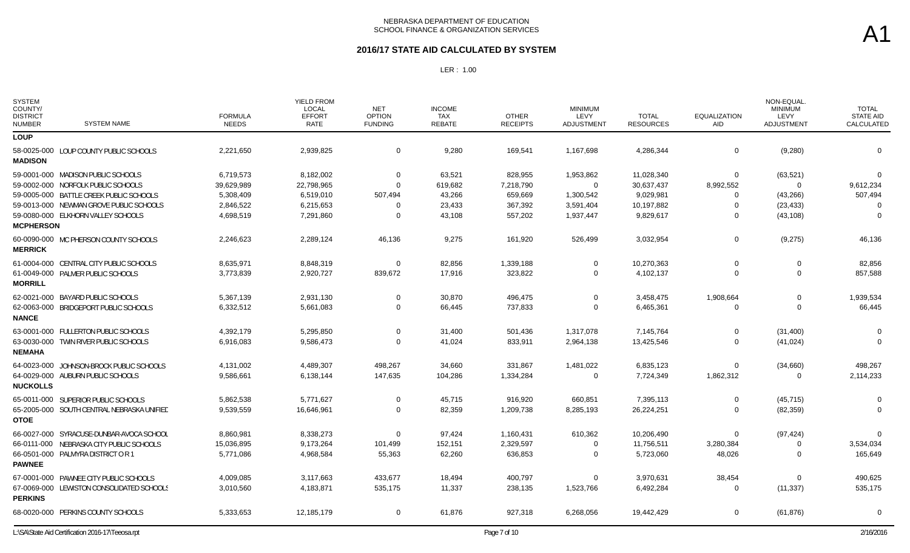#### **2016/17 STATE AID CALCULATED BY SYSTEM**

| <b>SYSTEM</b><br>COUNTY/<br><b>DISTRICT</b><br><b>NUMBER</b> | <b>SYSTEM NAME</b>                                                                 | <b>FORMULA</b><br><b>NEEDS</b> | <b>YIELD FROM</b><br><b>LOCAL</b><br><b>EFFORT</b><br>RATE | <b>NET</b><br><b>OPTION</b><br><b>FUNDING</b> | <b>INCOME</b><br>TAX<br><b>REBATE</b> | <b>OTHER</b><br><b>RECEIPTS</b> | <b>MINIMUM</b><br>LEVY<br>ADJUSTMENT | <b>TOTAL</b><br><b>RESOURCES</b> | <b>EQUALIZATION</b><br>AID | NON-EQUAL.<br><b>MINIMUM</b><br>LEVY<br>ADJUSTMENT | <b>TOTAL</b><br><b>STATE AID</b><br>CALCULATED |
|--------------------------------------------------------------|------------------------------------------------------------------------------------|--------------------------------|------------------------------------------------------------|-----------------------------------------------|---------------------------------------|---------------------------------|--------------------------------------|----------------------------------|----------------------------|----------------------------------------------------|------------------------------------------------|
| <b>LOUP</b>                                                  |                                                                                    |                                |                                                            |                                               |                                       |                                 |                                      |                                  |                            |                                                    |                                                |
| <b>MADISON</b>                                               | 58-0025-000 LOUP COUNTY PUBLIC SCHOOLS                                             | 2,221,650                      | 2,939,825                                                  | $\mathbf{0}$                                  | 9,280                                 | 169,541                         | 1,167,698                            | 4,286,344                        | $\mathbf 0$                | (9, 280)                                           | $\overline{0}$                                 |
|                                                              | 59-0001-000 MADISON PUBLIC SCHOOLS                                                 | 6,719,573                      | 8,182,002                                                  | $\Omega$                                      | 63,521                                | 828,955                         | 1,953,862                            | 11,028,340                       | $\mathbf 0$                | (63, 521)                                          | $\Omega$                                       |
|                                                              | 59-0002-000 NORFOLK PUBLIC SCHOOLS                                                 | 39,629,989                     | 22,798,965                                                 | $\Omega$                                      | 619,682                               | 7,218,790                       | $\Omega$                             | 30,637,437                       | 8,992,552                  | $\mathbf 0$                                        | 9,612,234                                      |
|                                                              | 59-0005-000 BATTLE CREEK PUBLIC SCHOOLS<br>59-0013-000 NEWMAN GROVE PUBLIC SCHOOLS | 5,308,409<br>2,846,522         | 6,519,010<br>6,215,653                                     | 507,494                                       | 43,266<br>23,433                      | 659,669<br>367,392              | 1,300,542<br>3,591,404               | 9,029,981<br>10,197,882          | $\Omega$<br>$\Omega$       | (43, 266)<br>(23, 433)                             | 507,494<br>$\Omega$                            |
| <b>MCPHERSON</b>                                             | 59-0080-000 ELKHORN VALLEY SCHOOLS                                                 | 4,698,519                      | 7,291,860                                                  | $\Omega$                                      | 43,108                                | 557,202                         | 1,937,447                            | 9,829,617                        | $\mathbf 0$                | (43, 108)                                          | $\Omega$                                       |
| <b>MERRICK</b>                                               | 60-0090-000 MC PHERSON COUNTY SCHOOLS                                              | 2,246,623                      | 2,289,124                                                  | 46,136                                        | 9,275                                 | 161,920                         | 526,499                              | 3,032,954                        | $\mathbf 0$                | (9,275)                                            | 46,136                                         |
| <b>MORRILL</b>                                               | 61-0004-000 CENTRAL CITY PUBLIC SCHOOLS                                            | 8,635,971                      | 8,848,319                                                  | $\Omega$                                      | 82,856                                | 1,339,188                       | $\Omega$                             | 10,270,363                       | $\Omega$                   | $\Omega$                                           | 82,856                                         |
|                                                              | 61-0049-000 PALMER PUBLIC SCHOOLS                                                  | 3,773,839                      | 2,920,727                                                  | 839,672                                       | 17,916                                | 323,822                         | $\Omega$                             | 4,102,137                        | 0                          | $\Omega$                                           | 857,588                                        |
| <b>NANCE</b>                                                 | 62-0021-000 BAYARD PUBLIC SCHOOLS                                                  | 5,367,139                      | 2,931,130                                                  | $\Omega$                                      | 30,870                                | 496,475                         | $\Omega$                             | 3,458,475                        | 1,908,664                  | $\mathbf 0$                                        | 1,939,534                                      |
|                                                              | 62-0063-000 BRIDGEPORT PUBLIC SCHOOLS                                              | 6,332,512                      | 5,661,083                                                  | $\mathbf 0$                                   | 66,445                                | 737,833                         | $\Omega$                             | 6,465,361                        | 0                          | $\mathbf 0$                                        | 66,445                                         |
| <b>NEMAHA</b>                                                | 63-0001-000 FULLERTON PUBLIC SCHOOLS                                               | 4,392,179                      | 5,295,850                                                  | $\Omega$                                      | 31,400                                | 501,436                         | 1,317,078                            | 7,145,764                        | 0                          | (31, 400)                                          | - 0                                            |
|                                                              | 63-0030-000 TWIN RIVER PUBLIC SCHOOLS                                              | 6,916,083                      | 9,586,473                                                  | $\Omega$                                      | 41,024                                | 833,911                         | 2,964,138                            | 13,425,546                       | $\Omega$                   | (41, 024)                                          | $\Omega$                                       |
| <b>NUCKOLLS</b>                                              | 64-0023-000 JOHNSON-BROCK PUBLIC SCHOOLS                                           | 4,131,002                      | 4,489,307                                                  | 498,267                                       | 34,660                                | 331,867                         | 1,481,022                            | 6,835,123                        | $\Omega$                   | (34,660)                                           | 498,267                                        |
|                                                              | 64-0029-000 AUBURN PUBLIC SCHOOLS                                                  | 9,586,661                      | 6,138,144                                                  | 147,635                                       | 104,286                               | 1,334,284                       | $\Omega$                             | 7,724,349                        | 1,862,312                  | $\Omega$                                           | 2,114,233                                      |
| <b>OTOE</b>                                                  | 65-0011-000 SUPERIOR PUBLIC SCHOOLS                                                | 5,862,538                      | 5,771,627                                                  | $\Omega$                                      | 45,715                                | 916,920                         | 660,851                              | 7,395,113                        | 0                          | (45, 715)                                          | - 0                                            |
|                                                              | 65-2005-000 SOUTH CENTRAL NEBRASKA UNIFIED                                         | 9,539,559                      | 16,646,961                                                 | $\Omega$                                      | 82,359                                | 1,209,738                       | 8,285,193                            | 26,224,251                       | $\Omega$                   | (82, 359)                                          | $\Omega$                                       |
| <b>PAWNEE</b>                                                | 66-0027-000 SYRACUSE-DUNBAR-AVOCA SCHOOL                                           | 8,860,981                      | 8,338,273                                                  | $\Omega$                                      | 97,424                                | 1,160,431                       | 610,362                              | 10,206,490                       | $\mathbf 0$                | (97, 424)                                          | $\Omega$                                       |
|                                                              | 66-0111-000 NEBRASKA CITY PUBLIC SCHOOLS                                           | 15,036,895                     | 9,173,264                                                  | 101,499                                       | 152,151                               | 2,329,597                       | $\Omega$                             | 11,756,511                       | 3,280,384                  | 0                                                  | 3,534,034                                      |
|                                                              | 66-0501-000 PALMYRA DISTRICT OR 1                                                  | 5,771,086                      | 4,968,584                                                  | 55,363                                        | 62,260                                | 636,853                         | $\Omega$                             | 5,723,060                        | 48,026                     | $\Omega$                                           | 165,649                                        |
| <b>PERKINS</b>                                               | 67-0001-000 PAWNEE CITY PUBLIC SCHOOLS                                             | 4,009,085                      | 3,117,663                                                  | 433,677                                       | 18,494                                | 400,797                         | $\Omega$                             | 3,970,631                        | 38,454                     | $\mathbf 0$                                        | 490,625                                        |
|                                                              | 67-0069-000 LEWISTON CONSOLIDATED SCHOOLS                                          | 3,010,560                      | 4,183,871                                                  | 535,175                                       | 11,337                                | 238,135                         | 1,523,766                            | 6,492,284                        | $\Omega$                   | (11, 337)                                          | 535,175                                        |
|                                                              | 68-0020-000 PERKINS COUNTY SCHOOLS                                                 | 5,333,653                      | 12,185,179                                                 | $\mathbf 0$                                   | 61,876                                | 927,318                         | 6,268,056                            | 19,442,429                       | $\mathbf 0$                | (61, 876)                                          | $\overline{0}$                                 |
|                                                              | L:\SA\State Aid Certification 2016-17\Teeosa.rpt                                   |                                |                                                            |                                               |                                       | Page 7 of 10                    |                                      |                                  |                            |                                                    | 2/16/2016                                      |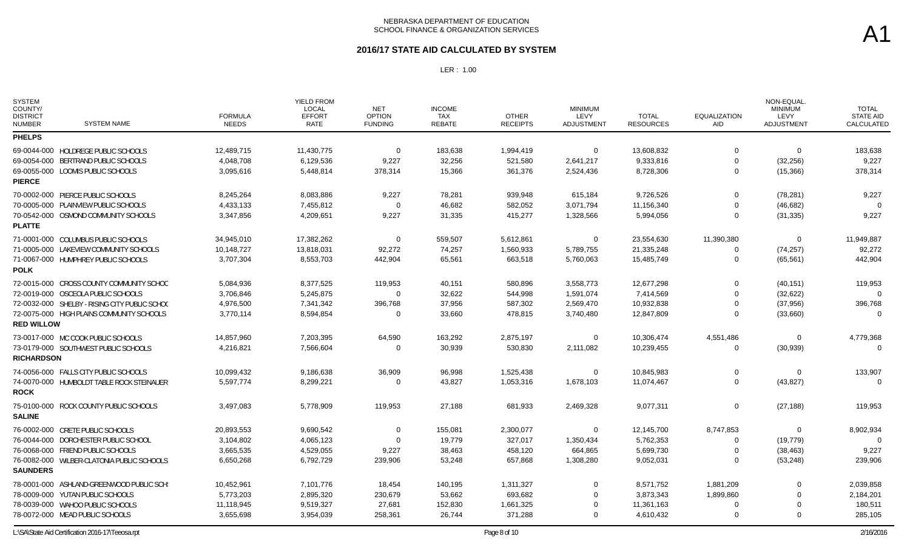### **2016/17 STATE AID CALCULATED BY SYSTEM**

| <b>SYSTEM</b><br>COUNTY/<br><b>DISTRICT</b><br><b>NUMBER</b> | <b>SYSTEM NAME</b>                            | <b>FORMULA</b><br><b>NEEDS</b> | <b>YIELD FROM</b><br><b>LOCAL</b><br><b>EFFORT</b><br><b>RATE</b> | <b>NET</b><br><b>OPTION</b><br><b>FUNDING</b> | <b>INCOME</b><br><b>TAX</b><br>REBATE | <b>OTHER</b><br><b>RECEIPTS</b> | <b>MINIMUM</b><br>LEVY<br>ADJUSTMENT | <b>TOTAL</b><br><b>RESOURCES</b> | <b>EQUALIZATION</b><br>AID | NON-EQUAL<br><b>MINIMUM</b><br>LEVY<br><b>ADJUSTMENT</b> | <b>TOTAL</b><br><b>STATE AID</b><br>CALCULATED |
|--------------------------------------------------------------|-----------------------------------------------|--------------------------------|-------------------------------------------------------------------|-----------------------------------------------|---------------------------------------|---------------------------------|--------------------------------------|----------------------------------|----------------------------|----------------------------------------------------------|------------------------------------------------|
| <b>PHELPS</b>                                                |                                               |                                |                                                                   |                                               |                                       |                                 |                                      |                                  |                            |                                                          |                                                |
|                                                              | 69-0044-000 HOLDREGE PUBLIC SCHOOLS           | 12,489,715                     | 11,430,775                                                        | $\overline{0}$                                | 183,638                               | 1,994,419                       | $\mathbf 0$                          | 13,608,832                       | $\Omega$                   | $\mathbf 0$                                              | 183,638                                        |
|                                                              | 69-0054-000 BERTRAND PUBLIC SCHOOLS           | 4,048,708                      | 6,129,536                                                         | 9,227                                         | 32,256                                | 521,580                         | 2,641,217                            | 9,333,816                        | $\Omega$                   | (32, 256)                                                | 9,227                                          |
| <b>PIERCE</b>                                                | 69-0055-000 LOOMIS PUBLIC SCHOOLS             | 3,095,616                      | 5,448,814                                                         | 378,314                                       | 15,366                                | 361,376                         | 2,524,436                            | 8,728,306                        | $\Omega$                   | (15, 366)                                                | 378,314                                        |
|                                                              | 70-0002-000 PIERCE PUBLIC SCHOOLS             | 8,245,264                      | 8,083,886                                                         | 9,227                                         | 78,281                                | 939,948                         | 615,184                              | 9,726,526                        | $\Omega$                   | (78, 281)                                                | 9,227                                          |
|                                                              | 70-0005-000 PLAINVIEW PUBLIC SCHOOLS          | 4,433,133                      | 7,455,812                                                         | $\mathbf 0$                                   | 46,682                                | 582,052                         | 3,071,794                            | 11,156,340                       | 0                          | (46, 682)                                                | $\Omega$                                       |
| <b>PLATTE</b>                                                | 70-0542-000 OSMOND COMMUNITY SCHOOLS          | 3,347,856                      | 4,209,651                                                         | 9,227                                         | 31,335                                | 415,277                         | 1,328,566                            | 5,994,056                        | $\Omega$                   | (31, 335)                                                | 9,227                                          |
|                                                              | 71-0001-000 COLUMBUS PUBLIC SCHOOLS           | 34,945,010                     | 17,382,262                                                        | $\mathbf 0$                                   | 559,507                               | 5,612,861                       | $\mathbf 0$                          | 23,554,630                       | 11,390,380                 | $\mathbf 0$                                              | 11,949,887                                     |
|                                                              | 71-0005-000 LAKEVIEW COMMUNITY SCHOOLS        | 10,148,727                     | 13,818,031                                                        | 92,272                                        | 74,257                                | 1,560,933                       | 5,789,755                            | 21,335,248                       | 0                          | (74, 257)                                                | 92,272                                         |
| POLK                                                         | 71-0067-000 HUMPHREY PUBLIC SCHOOLS           | 3,707,304                      | 8,553,703                                                         | 442,904                                       | 65,561                                | 663,518                         | 5,760,063                            | 15,485,749                       | $\Omega$                   | (65, 561)                                                | 442,904                                        |
|                                                              | 72-0015-000 CROSS COUNTY COMMUNITY SCHOO      | 5,084,936                      | 8,377,525                                                         | 119,953                                       | 40,151                                | 580,896                         | 3,558,773                            | 12,677,298                       | $\Omega$                   | (40, 151)                                                | 119,953                                        |
|                                                              | 72-0019-000 OSCEOLA PUBLIC SCHOOLS            | 3,706,846                      | 5,245,875                                                         | $\Omega$                                      | 32,622                                | 544,998                         | 1,591,074                            | 7,414,569                        | $\Omega$                   | (32, 622)                                                | $\Omega$                                       |
|                                                              | 72-0032-000 SHELBY - RISING CITY PUBLIC SCHOO | 4,976,500                      | 7,341,342                                                         | 396,768                                       | 37,956                                | 587,302                         | 2,569,470                            | 10,932,838                       | 0                          | (37, 956)                                                | 396,768                                        |
| <b>RED WILLOW</b>                                            | 72-0075-000 HIGH PLAINS COMMUNITY SCHOOLS     | 3,770,114                      | 8,594,854                                                         | $\Omega$                                      | 33,660                                | 478,815                         | 3,740,480                            | 12,847,809                       | 0                          | (33,660)                                                 | $\Omega$                                       |
|                                                              | 73-0017-000 MC COOK PUBLIC SCHOOLS            | 14,857,960                     | 7,203,395                                                         | 64,590                                        | 163,292                               | 2,875,197                       | 0                                    | 10,306,474                       | 4,551,486                  | 0                                                        | 4,779,368                                      |
| <b>RICHARDSON</b>                                            | 73-0179-000 SOUTHWEST PUBLIC SCHOOLS          | 4,216,821                      | 7,566,604                                                         | $\Omega$                                      | 30,939                                | 530,830                         | 2,111,082                            | 10,239,455                       | $\mathbf 0$                | (30, 939)                                                | $\Omega$                                       |
|                                                              | 74-0056-000 FALLS CITY PUBLIC SCHOOLS         | 10,099,432                     | 9,186,638                                                         | 36,909                                        | 96,998                                | 1,525,438                       | $\mathbf 0$                          | 10,845,983                       | 0                          | $\Omega$                                                 | 133,907                                        |
| <b>ROCK</b>                                                  | 74-0070-000 HUMBOLDT TABLE ROCK STEINAUER     | 5,597,774                      | 8,299,221                                                         | 0                                             | 43,827                                | 1,053,316                       | 1,678,103                            | 11,074,467                       | $\mathbf 0$                | (43, 827)                                                | $\Omega$                                       |
| <b>SALINE</b>                                                | 75-0100-000 ROCK COUNTY PUBLIC SCHOOLS        | 3,497,083                      | 5,778,909                                                         | 119,953                                       | 27,188                                | 681,933                         | 2,469,328                            | 9,077,311                        | 0                          | (27, 188)                                                | 119,953                                        |
|                                                              | 76-0002-000 CRETE PUBLIC SCHOOLS              | 20,893,553                     | 9,690,542                                                         | 0                                             | 155,081                               | 2,300,077                       | $\Omega$                             | 12,145,700                       | 8,747,853                  | 0                                                        | 8,902,934                                      |
|                                                              | 76-0044-000 DORCHESTER PUBLIC SCHOOL          | 3,104,802                      | 4,065,123                                                         | $\Omega$                                      | 19,779                                | 327,017                         | 1,350,434                            | 5,762,353                        | 0                          | (19, 779)                                                | $\Omega$                                       |
|                                                              | 76-0068-000 FRIEND PUBLIC SCHOOLS             | 3,665,535                      | 4,529,055                                                         | 9,227                                         | 38,463                                | 458,120                         | 664,865                              | 5,699,730                        | 0                          | (38, 463)                                                | 9,227                                          |
| <b>SAUNDERS</b>                                              | 76-0082-000 WILBER-CLATONIA PUBLIC SCHOOLS    | 6,650,268                      | 6,792,729                                                         | 239,906                                       | 53,248                                | 657.868                         | 1,308,280                            | 9,052,031                        | $\Omega$                   | (53, 248)                                                | 239,906                                        |
|                                                              | 78-0001-000 ASHLAND-GREENWOOD PUBLIC SCH:     | 10,452,961                     | 7,101,776                                                         | 18,454                                        | 140,195                               | 1,311,327                       | $\Omega$                             | 8,571,752                        | 1,881,209                  | $\Omega$                                                 | 2,039,858                                      |
|                                                              | 78-0009-000 YUTAN PUBLIC SCHOOLS              | 5,773,203                      | 2,895,320                                                         | 230,679                                       | 53,662                                | 693,682                         | $\Omega$                             | 3,873,343                        | 1,899,860                  | $\Omega$                                                 | 2,184,201                                      |
|                                                              | 78-0039-000 WAHOO PUBLIC SCHOOLS              | 11,118,945                     | 9,519,327                                                         | 27,681                                        | 152,830                               | 1,661,325                       | $\Omega$                             | 11,361,163                       | 0                          | $\Omega$                                                 | 180,511                                        |
|                                                              | 78-0072-000 MEAD PUBLIC SCHOOLS               | 3,655,698                      | 3,954,039                                                         | 258,361                                       | 26,744                                | 371,288                         | $\Omega$                             | 4,610,432                        | $\Omega$                   | $\Omega$                                                 | 285,105                                        |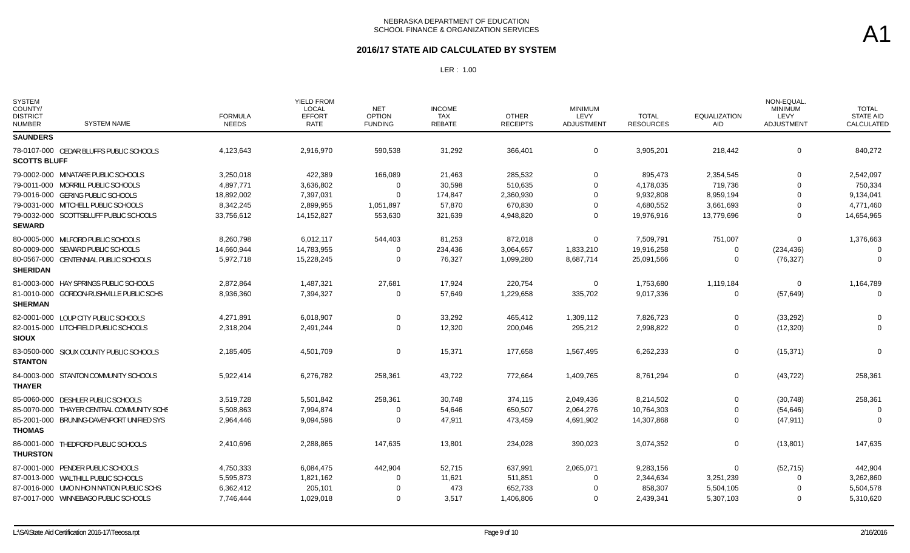### **2016/17 STATE AID CALCULATED BY SYSTEM**

| <b>SYSTEM</b><br>COUNTY/<br><b>DISTRICT</b><br><b>NUMBER</b> | <b>SYSTEM NAME</b>                        | <b>FORMULA</b><br><b>NEEDS</b> | <b>YIELD FROM</b><br><b>LOCAL</b><br><b>EFFORT</b><br><b>RATE</b> | <b>NET</b><br><b>OPTION</b><br><b>FUNDING</b> | <b>INCOME</b><br><b>TAX</b><br><b>REBATE</b> | <b>OTHER</b><br><b>RECEIPTS</b> | <b>MINIMUM</b><br>LEVY<br><b>ADJUSTMENT</b> | <b>TOTAL</b><br><b>RESOURCES</b> | <b>EQUALIZATION</b><br><b>AID</b> | NON-EQUAL.<br><b>MINIMUM</b><br>LEVY<br><b>ADJUSTMENT</b> | <b>TOTAL</b><br><b>STATE AID</b><br>CALCULATED |
|--------------------------------------------------------------|-------------------------------------------|--------------------------------|-------------------------------------------------------------------|-----------------------------------------------|----------------------------------------------|---------------------------------|---------------------------------------------|----------------------------------|-----------------------------------|-----------------------------------------------------------|------------------------------------------------|
| <b>SAUNDERS</b>                                              |                                           |                                |                                                                   |                                               |                                              |                                 |                                             |                                  |                                   |                                                           |                                                |
| <b>SCOTTS BLUFF</b>                                          | 78-0107-000 CEDAR BLUFFS PUBLIC SCHOOLS   | 4,123,643                      | 2,916,970                                                         | 590,538                                       | 31,292                                       | 366,401                         | $\mathbf 0$                                 | 3,905,201                        | 218,442                           | $\mathbf 0$                                               | 840,272                                        |
|                                                              | 79-0002-000 MINATARE PUBLIC SCHOOLS       | 3,250,018                      | 422,389                                                           | 166,089                                       | 21,463                                       | 285,532                         | $\Omega$                                    | 895,473                          | 2,354,545                         | $\Omega$                                                  | 2,542,097                                      |
|                                                              | 79-0011-000 MORRILL PUBLIC SCHOOLS        | 4,897,771                      | 3,636,802                                                         | $\Omega$                                      | 30,598                                       | 510,635                         | $\Omega$                                    | 4,178,035                        | 719,736                           |                                                           | 750,334                                        |
|                                                              | 79-0016-000 GERING PUBLIC SCHOOLS         | 18,892,002                     | 7,397,031                                                         | $\Omega$                                      | 174,847                                      | 2,360,930                       | $\Omega$                                    | 9,932,808                        | 8,959,194                         |                                                           | 9,134,041                                      |
|                                                              | 79-0031-000 MITCHELL PUBLIC SCHOOLS       | 8,342,245                      | 2,899,955                                                         | 1,051,897                                     | 57,870                                       | 670,830                         |                                             | 4,680,552                        | 3,661,693                         |                                                           | 4,771,460                                      |
| <b>SEWARD</b>                                                | 79-0032-000 SCOTTSBLUFF PUBLIC SCHOOLS    | 33,756,612                     | 14,152,827                                                        | 553,630                                       | 321,639                                      | 4,948,820                       | $\Omega$                                    | 19,976,916                       | 13,779,696                        | $\Omega$                                                  | 14,654,965                                     |
|                                                              | 80-0005-000 MILFORD PUBLIC SCHOOLS        | 8,260,798                      | 6,012,117                                                         | 544,403                                       | 81,253                                       | 872,018                         | $\mathbf 0$                                 | 7,509,791                        | 751,007                           | $\Omega$                                                  | 1,376,663                                      |
|                                                              | 80-0009-000 SEWARD PUBLIC SCHOOLS         | 14,660,944                     | 14,783,955                                                        | $\Omega$                                      | 234,436                                      | 3,064,657                       | 1,833,210                                   | 19,916,258                       | $\Omega$                          | (234, 436)                                                | $\Omega$                                       |
| <b>SHERIDAN</b>                                              | 80-0567-000 CENTENNIAL PUBLIC SCHOOLS     | 5,972,718                      | 15,228,245                                                        | $\Omega$                                      | 76,327                                       | 1,099,280                       | 8,687,714                                   | 25,091,566                       | $\Omega$                          | (76, 327)                                                 | $\Omega$                                       |
|                                                              | 81-0003-000 HAY SPRINGS PUBLIC SCHOOLS    | 2,872,864                      | 1,487,321                                                         | 27,681                                        | 17,924                                       | 220,754                         | 0                                           | 1,753,680                        | 1,119,184                         | 0                                                         | 1,164,789                                      |
| <b>SHERMAN</b>                                               | 81-0010-000 GORDON-RUSHVILLE PUBLIC SCHS  | 8,936,360                      | 7,394,327                                                         | $\Omega$                                      | 57,649                                       | 1,229,658                       | 335,702                                     | 9,017,336                        | 0                                 | (57, 649)                                                 | $\overline{0}$                                 |
|                                                              | 82-0001-000 LOUP CITY PUBLIC SCHOOLS      | 4,271,891                      | 6,018,907                                                         | $\Omega$                                      | 33,292                                       | 465,412                         | 1,309,112                                   | 7,826,723                        | 0                                 | (33, 292)                                                 | - 0                                            |
| <b>SIOUX</b>                                                 | 82-0015-000 LITCHFIELD PUBLIC SCHOOLS     | 2,318,204                      | 2,491,244                                                         | $\Omega$                                      | 12,320                                       | 200,046                         | 295,212                                     | 2,998,822                        | $\Omega$                          | (12, 320)                                                 | $\Omega$                                       |
| <b>STANTON</b>                                               | 83-0500-000 SIOUX COUNTY PUBLIC SCHOOLS   | 2,185,405                      | 4,501,709                                                         | $\Omega$                                      | 15,371                                       | 177,658                         | 1,567,495                                   | 6,262,233                        | $\mathbf 0$                       | (15, 371)                                                 | $\Omega$                                       |
| <b>THAYER</b>                                                | 84-0003-000 STANTON COMMUNITY SCHOOLS     | 5,922,414                      | 6,276,782                                                         | 258,361                                       | 43,722                                       | 772,664                         | 1,409,765                                   | 8,761,294                        | 0                                 | (43, 722)                                                 | 258,361                                        |
|                                                              | 85-0060-000 DESHLER PUBLIC SCHOOLS        | 3,519,728                      | 5,501,842                                                         | 258,361                                       | 30,748                                       | 374,115                         | 2,049,436                                   | 8,214,502                        | $\Omega$                          | (30, 748)                                                 | 258,361                                        |
|                                                              | 85-0070-000 THAYER CENTRAL COMMUNITY SCHS | 5,508,863                      | 7,994,874                                                         | 0                                             | 54,646                                       | 650,507                         | 2,064,276                                   | 10,764,303                       | $\Omega$                          | (54, 646)                                                 | - 0                                            |
| <b>THOMAS</b>                                                | 85-2001-000 BRUNING-DAVENPORT UNIFIED SYS | 2,964,446                      | 9,094,596                                                         | $\Omega$                                      | 47,911                                       | 473,459                         | 4,691,902                                   | 14,307,868                       | $\Omega$                          | (47, 911)                                                 | $\Omega$                                       |
| <b>THURSTON</b>                                              | 86-0001-000 THEDFORD PUBLIC SCHOOLS       | 2,410,696                      | 2,288,865                                                         | 147,635                                       | 13,801                                       | 234,028                         | 390,023                                     | 3,074,352                        | $\mathbf 0$                       | (13, 801)                                                 | 147,635                                        |
|                                                              | 87-0001-000 PENDER PUBLIC SCHOOLS         | 4,750,333                      | 6,084,475                                                         | 442,904                                       | 52,715                                       | 637,991                         | 2,065,071                                   | 9,283,156                        | $\Omega$                          | (52, 715)                                                 | 442,904                                        |
|                                                              | 87-0013-000 WALTHILL PUBLIC SCHOOLS       | 5,595,873                      | 1,821,162                                                         | $\Omega$                                      | 11,621                                       | 511,851                         | $\Omega$                                    | 2,344,634                        | 3,251,239                         | $\Omega$                                                  | 3,262,860                                      |
|                                                              | 87-0016-000 UMO N HO N NATION PUBLIC SCHS | 6,362,412                      | 205,101                                                           |                                               | 473                                          | 652,733                         | $\Omega$                                    | 858,307                          | 5,504,105                         |                                                           | 5,504,578                                      |
|                                                              | 87-0017-000 WINNEBAGO PUBLIC SCHOOLS      | 7,746,444                      | 1,029,018                                                         | $\Omega$                                      | 3,517                                        | 1,406,806                       | $\Omega$                                    | 2,439,341                        | 5,307,103                         |                                                           | 5,310,620                                      |